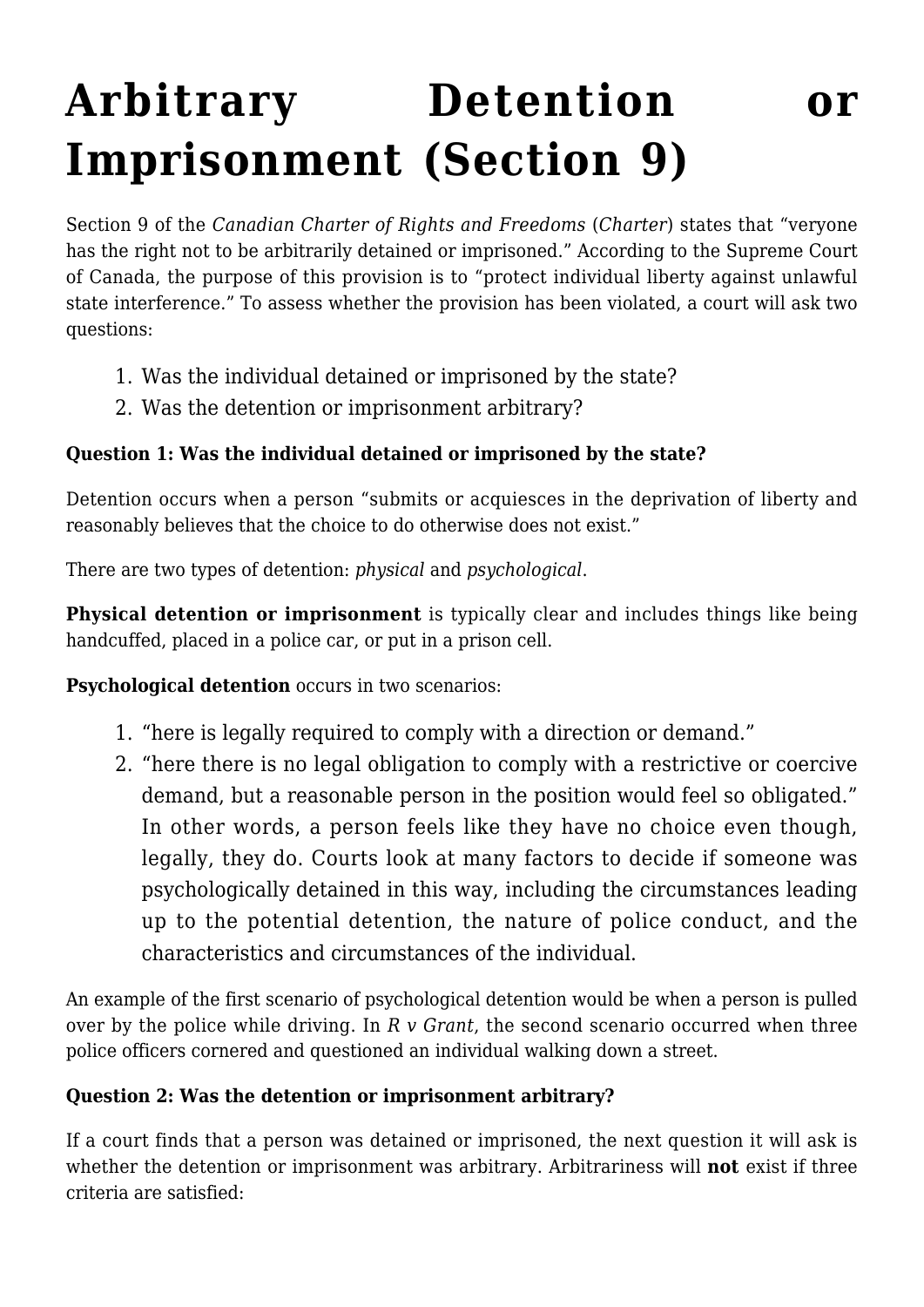# **[Arbitrary Detention or](https://www.constitutionalstudies.ca/2022/06/arbitrary-detention-or-imprisonment-section-9/) [Imprisonment \(Section 9\)](https://www.constitutionalstudies.ca/2022/06/arbitrary-detention-or-imprisonment-section-9/)**

Section 9 of the *Canadian Charter of Rights and Freedoms* (*Charter*) states that "veryone has the right not to be arbitrarily detained or imprisoned." According to the Supreme Court of Canada, the purpose of this provision is to "protect individual liberty against unlawful state interference." To assess whether the provision has been violated, a court will ask two questions:

- 1. Was the individual detained or imprisoned by the state?
- 2. Was the detention or imprisonment arbitrary?

## **Question 1: Was the individual detained or imprisoned by the state?**

Detention occurs when a person "submits or acquiesces in the deprivation of liberty and reasonably believes that the choice to do otherwise does not exist."

There are two types of detention: *physical* and *psychological*.

**Physical detention or imprisonment** is typically clear and includes things like being handcuffed, placed in a police car, or put in a prison cell.

**Psychological detention** occurs in two scenarios:

- 1. "here is legally required to comply with a direction or demand."
- 2. "here there is no legal obligation to comply with a restrictive or coercive demand, but a reasonable person in the position would feel so obligated." In other words, a person feels like they have no choice even though, legally, they do. Courts look at many factors to decide if someone was psychologically detained in this way, including the circumstances leading up to the potential detention, the nature of police conduct, and the characteristics and circumstances of the individual.

An example of the first scenario of psychological detention would be when a person is pulled over by the police while driving. In *R v Grant*, the second scenario occurred when three police officers cornered and questioned an individual walking down a street.

## **Question 2: Was the detention or imprisonment arbitrary?**

If a court finds that a person was detained or imprisoned, the next question it will ask is whether the detention or imprisonment was arbitrary. Arbitrariness will **not** exist if three criteria are satisfied: